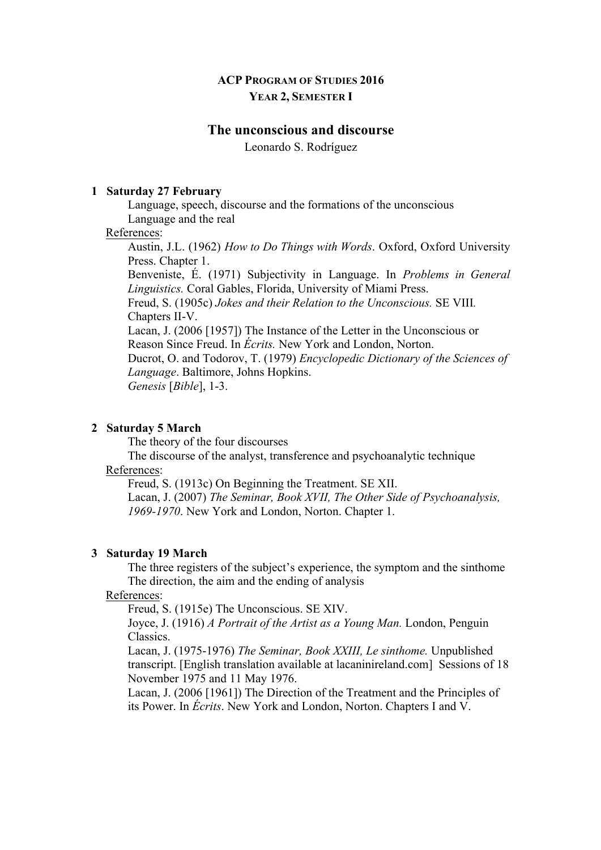# **ACP PROGRAM OF STUDIES 2016 YEAR 2, SEMESTER I**

# **The unconscious and discourse**

Leonardo S. Rodríguez

#### **1 Saturday 27 February**

Language, speech, discourse and the formations of the unconscious Language and the real

#### References:

Austin, J.L. (1962) *How to Do Things with Words*. Oxford, Oxford University Press. Chapter 1.

Benveniste, É. (1971) Subjectivity in Language. In *Problems in General Linguistics.* Coral Gables, Florida, University of Miami Press.

Freud, S. (1905c) *Jokes and their Relation to the Unconscious.* SE VIII*.* Chapters II-V.

Lacan, J. (2006 [1957]) The Instance of the Letter in the Unconscious or Reason Since Freud. In *Écrits.* New York and London, Norton.

Ducrot, O. and Todorov, T. (1979) *Encyclopedic Dictionary of the Sciences of Language*. Baltimore, Johns Hopkins.

*Genesis* [*Bible*], 1-3.

#### **2 Saturday 5 March**

The theory of the four discourses

The discourse of the analyst, transference and psychoanalytic technique References:

Freud, S. (1913c) On Beginning the Treatment. SE XII.

Lacan, J. (2007) *The Seminar, Book XVII, The Other Side of Psychoanalysis, 1969-1970*. New York and London, Norton. Chapter 1.

#### **3 Saturday 19 March**

The three registers of the subject's experience, the symptom and the sinthome The direction, the aim and the ending of analysis

### References:

Freud, S. (1915e) The Unconscious. SE XIV.

Joyce, J. (1916) *A Portrait of the Artist as a Young Man.* London, Penguin Classics.

Lacan, J. (1975-1976) *The Seminar, Book XXIII, Le sinthome.* Unpublished transcript. [English translation available at lacaninireland.com] Sessions of 18 November 1975 and 11 May 1976.

Lacan, J. (2006 [1961]) The Direction of the Treatment and the Principles of its Power. In *Écrits*. New York and London, Norton. Chapters I and V.